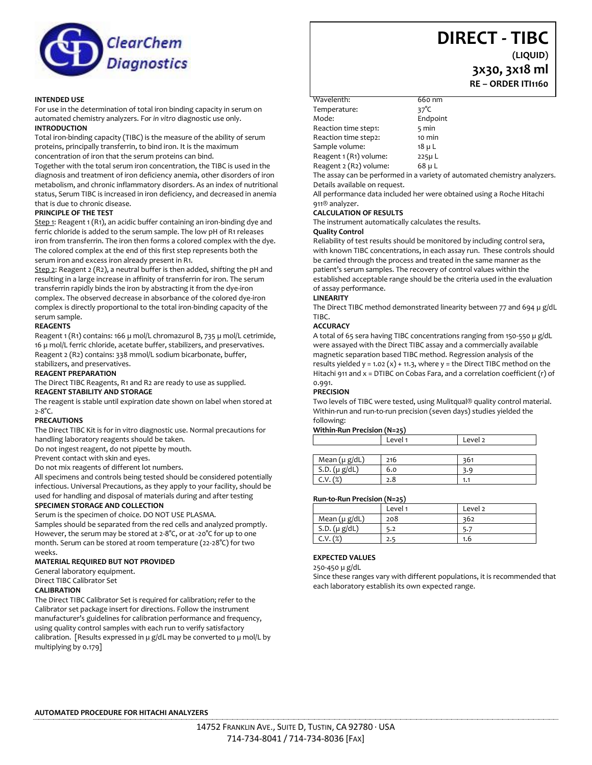

#### **INTENDED USE**

For use in the determination of total iron binding capacity in serum on automated chemistry analyzers. For *in vitro* diagnostic use only. **INTRODUCTION**

Total iron-binding capacity (TIBC) is the measure of the ability of serum proteins, principally transferrin, to bind iron. It is the maximum concentration of iron that the serum proteins can bind.

Together with the total serum iron concentration, the TIBC is used in the diagnosis and treatment of iron deficiency anemia, other disorders of iron metabolism, and chronic inflammatory disorders. As an index of nutritional status, Serum TIBC is increased in iron deficiency, and decreased in anemia that is due to chronic disease.

#### **PRINCIPLE OF THE TEST**

Step 1: Reagent 1 (R1), an acidic buffer containing an iron-binding dye and ferric chloride is added to the serum sample. The low pH of R1 releases iron from transferrin. The iron then forms a colored complex with the dye. The colored complex at the end of this first step represents both the serum iron and excess iron already present in R1.

Step 2: Reagent 2 (R2), a neutral buffer is then added, shifting the pH and resulting in a large increase in affinity of transferrin for iron. The serum transferrin rapidly binds the iron by abstracting it from the dye-iron complex. The observed decrease in absorbance of the colored dye-iron complex is directly proportional to the total iron-binding capacity of the serum sample.

#### **REAGENTS**

Reagent 1 (R1) contains: 166 µ mol/L chromazurol B, 735 µ mol/L cetrimide, 16 µ mol/L ferric chloride, acetate buffer, stabilizers, and preservatives. Reagent 2 (R2) contains: 338 mmol/L sodium bicarbonate, buffer, stabilizers, and preservatives.

## **REAGENT PREPARATION**

The Direct TIBC Reagents, R1 and R2 are ready to use as supplied.

#### **REAGENT STABILITY AND STORAGE**

The reagent is stable until expiration date shown on label when stored at 2-8°C.

#### **PRECAUTIONS**

The Direct TIBC Kit is for in vitro diagnostic use. Normal precautions for handling laboratory reagents should be taken.

Do not ingest reagent, do not pipette by mouth.

Prevent contact with skin and eyes.

Do not mix reagents of different lot numbers.

All specimens and controls being tested should be considered potentially infectious. Universal Precautions, as they apply to your facility, should be used for handling and disposal of materials during and after testing

### **SPECIMEN STORAGE AND COLLECTION**

Serum is the specimen of choice. DO NOT USE PLASMA.

Samples should be separated from the red cells and analyzed promptly. However, the serum may be stored at 2-8°C, or at -20°C for up to one month. Serum can be stored at room temperature (22-28°C) for two weeks.

## **MATERIAL REQUIRED BUT NOT PROVIDED**

General laboratory equipment.

Direct TIBC Calibrator Set

## **CALIBRATION**

The Direct TIBC Calibrator Set is required for calibration; refer to the Calibrator set package insert for directions. Follow the instrument manufacturer's guidelines for calibration performance and frequency, using quality control samples with each run to verify satisfactory calibration. [Results expressed in  $\mu$  g/dL may be converted to  $\mu$  mol/L by multiplying by 0.179]

| Wavelenth:             | 660 nm          |
|------------------------|-----------------|
| Temperature:           | 37 $^{\circ}$ C |
| Mode:                  | Endpoint        |
| Reaction time step1:   | 5 min           |
| Reaction time step2:   | 10 min          |
| Sample volume:         | 18 µ L          |
| Reagent 1 (R1) volume: | 225µL           |
| Reagent 2 (R2) volume: | 68 µL           |
|                        |                 |

The assay can be performed in a variety of automated chemistry analyzers. Details available on request.

All performance data included her were obtained using a Roche Hitachi 911® analyzer.

## **CALCULATION OF RESULTS**

The instrument automatically calculates the results.

## **Quality Control**

Reliability of test results should be monitored by including control sera, with known TIBC concentrations, in each assay run. These controls should be carried through the process and treated in the same manner as the patient's serum samples. The recovery of control values within the established acceptable range should be the criteria used in the evaluation of assay performance.

### **LINEARITY**

The Direct TIBC method demonstrated linearity between 77 and 694 µ g/dL TIBC.

#### **ACCURACY**

A total of 65 sera having TIBC concentrations ranging from 150-550 µ g/dL were assayed with the Direct TIBC assay and a commercially available magnetic separation based TIBC method. Regression analysis of the results yielded  $y = 1.02(x) + 11.3$ , where  $y =$  the Direct TIBC method on the Hitachi 911 and  $x = DT\text{IBC}$  on Cobas Fara, and a correlation coefficient (r) of 0.991.

### **PRECISION**

Two levels of TIBC were tested, using Mulitqual® quality control material. Within-run and run-to-run precision (seven days) studies yielded the following:

## **Within-Run Precision (N=25)**

Level 1 Level 2

| Mean $(\mu g/dL)$ | 216 | 361 |
|-------------------|-----|-----|
| S.D. $(\mu g/dL)$ | 6.0 |     |
| (%<br>C.V.        | 2.8 | 1.1 |

#### **Run-to-Run Precision (N=25)**

|                   | Level 1 | Level 2 |
|-------------------|---------|---------|
| Mean $(\mu g/dL)$ | 208     | 362     |
| S.D. $(\mu g/dL)$ | 5.2     |         |
| C.V. (%)          | 2.5     | 1.6     |

## **EXPECTED VALUES**

250-450 µ g/dL

Since these ranges vary with different populations, it is recommended that each laboratory establish its own expected range.

# **DIRECT - TIBC**

**(LIQUID)**

**3x30, 3x18 ml**

**RE – ORDER ITI1160**